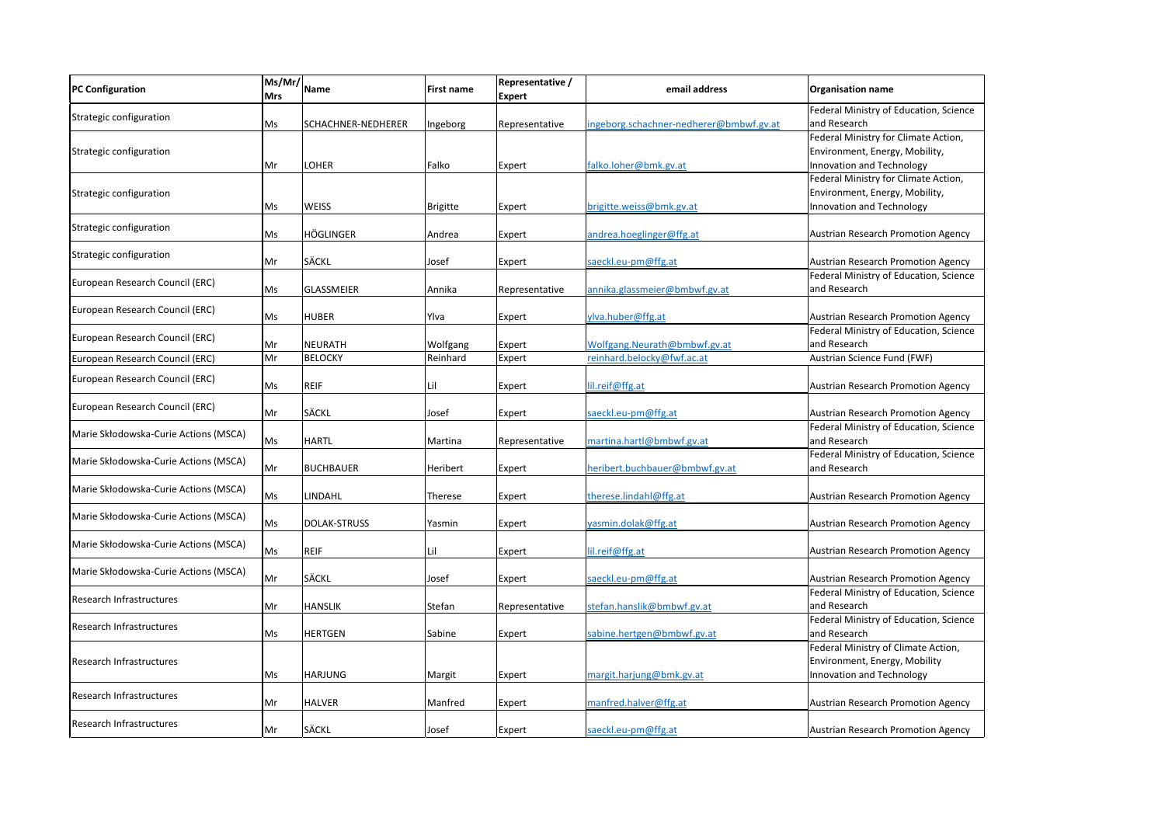| <b>PC Configuration</b>               | $\sqrt{\frac{Ms}{M}}$ Name<br><b>Mrs</b> |                    | First name      | Representative /<br><b>Expert</b> | email address                           | <b>Organisation name</b>                                               |
|---------------------------------------|------------------------------------------|--------------------|-----------------|-----------------------------------|-----------------------------------------|------------------------------------------------------------------------|
| Strategic configuration               |                                          |                    |                 |                                   |                                         | Federal Ministry of Education, Scienc                                  |
|                                       | Ms                                       | SCHACHNER-NEDHERER | Ingeborg        | Representative                    | ingeborg.schachner-nedherer@bmbwf.gv.at | and Research                                                           |
| Strategic configuration               |                                          |                    |                 |                                   |                                         | Federal Ministry for Climate Action,<br>Environment, Energy, Mobility, |
|                                       | Mr                                       | <b>LOHER</b>       | Falko           | Expert                            | falko.loher@bmk.gv.at                   | Innovation and Technology                                              |
|                                       |                                          |                    |                 |                                   |                                         | Federal Ministry for Climate Action,                                   |
| Strategic configuration               |                                          |                    |                 |                                   |                                         | Environment, Energy, Mobility,                                         |
|                                       | Ms                                       | <b>WEISS</b>       | <b>Brigitte</b> | Expert                            | brigitte.weiss@bmk.gv.at                | Innovation and Technology                                              |
| Strategic configuration               |                                          |                    |                 |                                   |                                         |                                                                        |
|                                       | Ms                                       | HÖGLINGER          | Andrea          | Expert                            | andrea.hoeglinger@ffg.at                | <b>Austrian Research Promotion Agency</b>                              |
| Strategic configuration               |                                          |                    |                 |                                   |                                         |                                                                        |
|                                       | Mr                                       | <b>SÄCKL</b>       | Josef           | Expert                            | saeckl.eu-pm@ffg.at                     | <b>Austrian Research Promotion Agency</b>                              |
| European Research Council (ERC)       |                                          |                    |                 |                                   |                                         | Federal Ministry of Education, Scienc                                  |
|                                       | Ms                                       | GLASSMEIER         | Annika          | Representative                    | annika.glassmeier@bmbwf.gv.at           | and Research                                                           |
| European Research Council (ERC)       | Ms                                       | <b>HUBER</b>       | Ylva            | Expert                            | ylva.huber@ffg.at                       | Austrian Research Promotion Agency                                     |
|                                       |                                          |                    |                 |                                   |                                         | Federal Ministry of Education, Scienc                                  |
| European Research Council (ERC)       | Mr                                       | NEURATH            | Wolfgang        | Expert                            | Wolfgang.Neurath@bmbwf.gv.at            | and Research                                                           |
| European Research Council (ERC)       | Mr                                       | <b>BELOCKY</b>     | Reinhard        | Expert                            | reinhard.belocky@fwf.ac.at              | Austrian Science Fund (FWF)                                            |
|                                       |                                          |                    |                 |                                   |                                         |                                                                        |
| European Research Council (ERC)       | Ms                                       | <b>REIF</b>        | Lil             | Expert                            | lil.reif@ffg.at                         | <b>Austrian Research Promotion Agency</b>                              |
| European Research Council (ERC)       |                                          |                    |                 |                                   |                                         |                                                                        |
|                                       | Mr                                       | <b>SÄCKL</b>       | Josef           | Expert                            | saeckl.eu-pm@ffg.at                     | <b>Austrian Research Promotion Agency</b>                              |
| Marie Skłodowska-Curie Actions (MSCA) |                                          |                    |                 |                                   |                                         | Federal Ministry of Education, Scienc                                  |
|                                       | Ms                                       | <b>HARTL</b>       | Martina         | Representative                    | martina.hartl@bmbwf.gv.at               | and Research                                                           |
| Marie Skłodowska-Curie Actions (MSCA) | Mr                                       | <b>BUCHBAUER</b>   | Heribert        | Expert                            | heribert.buchbauer@bmbwf.gv.at          | Federal Ministry of Education, Scienc<br>and Research                  |
|                                       |                                          |                    |                 |                                   |                                         |                                                                        |
| Marie Skłodowska-Curie Actions (MSCA) | Ms                                       | LINDAHL            | Therese         | Expert                            | therese.lindahl@ffg.at                  | <b>Austrian Research Promotion Agency</b>                              |
|                                       |                                          |                    |                 |                                   |                                         |                                                                        |
| Marie Skłodowska-Curie Actions (MSCA) | Ms                                       | DOLAK-STRUSS       | Yasmin          | Expert                            | yasmin.dolak@ffg.at                     | Austrian Research Promotion Agency                                     |
| Marie Skłodowska-Curie Actions (MSCA) |                                          |                    |                 |                                   |                                         |                                                                        |
|                                       | Ms                                       | <b>REIF</b>        | Lil             | Expert                            | lil.reif@ffg.at                         | <b>Austrian Research Promotion Agency</b>                              |
| Marie Skłodowska-Curie Actions (MSCA) |                                          |                    |                 |                                   |                                         |                                                                        |
|                                       | Mr                                       | <b>SÄCKL</b>       | Josef           | Expert                            | saeckl.eu-pm@ffg.at                     | <b>Austrian Research Promotion Agency</b>                              |
| Research Infrastructures              |                                          |                    |                 |                                   |                                         | Federal Ministry of Education, Scienc                                  |
|                                       | Mr                                       | <b>HANSLIK</b>     | Stefan          | Representative                    | stefan.hanslik@bmbwf.gv.at              | and Research<br>Federal Ministry of Education, Scienc                  |
| Research Infrastructures              | Ms                                       | <b>HERTGEN</b>     | Sabine          | Expert                            | sabine.hertgen@bmbwf.gv.at              | and Research                                                           |
|                                       |                                          |                    |                 |                                   |                                         | Federal Ministry of Climate Action,                                    |
| Research Infrastructures              |                                          |                    |                 |                                   |                                         | Environment, Energy, Mobility                                          |
|                                       | Ms                                       | <b>HARJUNG</b>     | Margit          | Expert                            | margit.harjung@bmk.gv.at                | Innovation and Technology                                              |
|                                       |                                          |                    |                 |                                   |                                         |                                                                        |
| Research Infrastructures              | Mr                                       | <b>HALVER</b>      | Manfred         | Expert                            | manfred.halver@ffg.at                   | <b>Austrian Research Promotion Agency</b>                              |
| Research Infrastructures              |                                          |                    |                 |                                   |                                         |                                                                        |
|                                       | Mr                                       | <b>SÄCKL</b>       | Josef           | Expert                            | saeckl.eu-pm@ffg.at                     | Austrian Research Promotion Agency                                     |

## **name**

try of Education, Science

try of Education, Science

try of Education, Science

try of Education, Science

try of Education, Science

try of Education, Science

try of Education, Science

arch Promotion Agency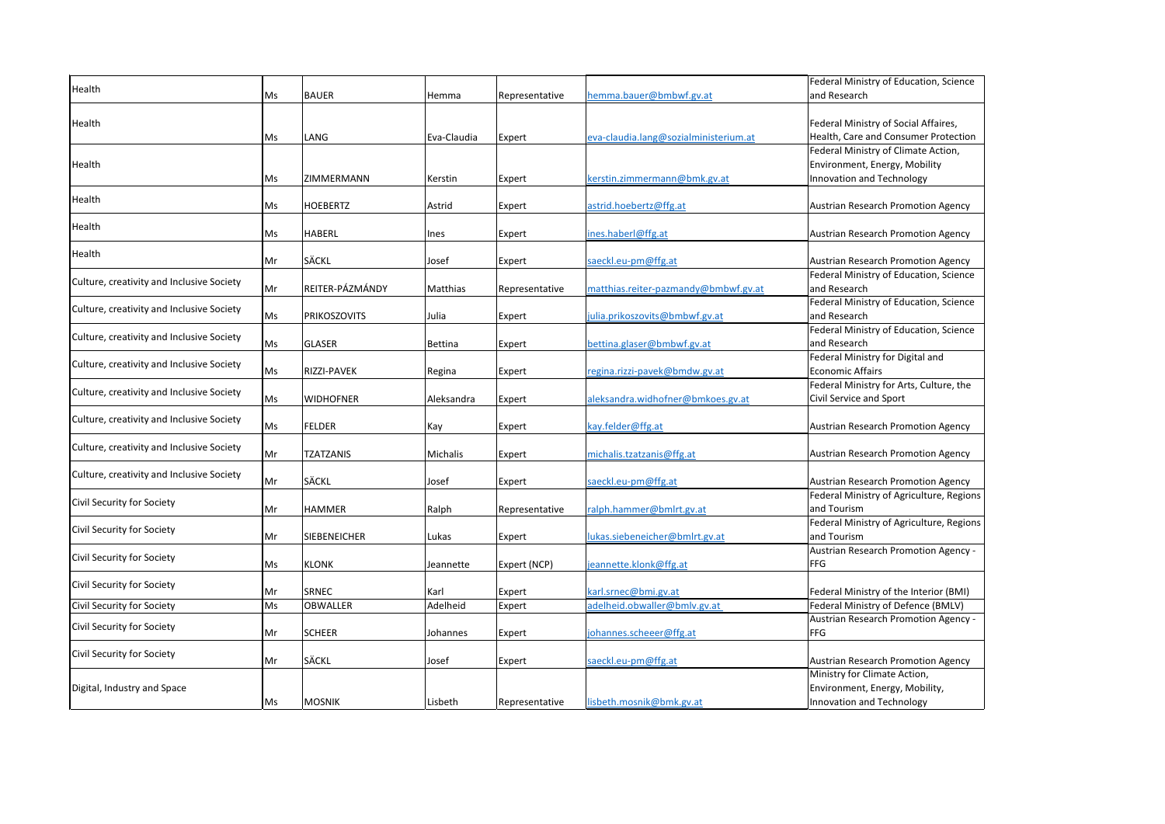| Health                                    | Ms. | <b>BAUER</b>        | <b>Hemma</b>    | Representative | hemma.bauer@bmbwf.gv.at               | Federal Ministry of Education, Scienc<br>and Research                                             |
|-------------------------------------------|-----|---------------------|-----------------|----------------|---------------------------------------|---------------------------------------------------------------------------------------------------|
| Health                                    | Ms  | LANG                | Eva-Claudia     | Expert         | eva-claudia.lang@sozialministerium.at | Federal Ministry of Social Affaires,<br>Health, Care and Consumer Protectio                       |
| Health                                    | Ms  | ZIMMERMANN          | Kerstin         | Expert         | kerstin.zimmermann@bmk.gv.at          | Federal Ministry of Climate Action,<br>Environment, Energy, Mobility<br>Innovation and Technology |
| Health                                    | Ms  | <b>HOEBERTZ</b>     | Astrid          | Expert         | astrid.hoebertz@ffg.at                | Austrian Research Promotion Agency                                                                |
| Health                                    | Ms  | <b>HABERL</b>       | <b>Ines</b>     | Expert         | ines.haberl@ffg.at                    | Austrian Research Promotion Agency                                                                |
| Health                                    | Mr  | <b>SÄCKL</b>        | Josef           | Expert         | saeckl.eu-pm@ffg.at                   | <b>Austrian Research Promotion Agency</b>                                                         |
| Culture, creativity and Inclusive Society | Mr  | REITER-PÁZMÁNDY     | <b>Matthias</b> | Representative | matthias.reiter-pazmandy@bmbwf.gv.at  | Federal Ministry of Education, Scienc<br>and Research                                             |
| Culture, creativity and Inclusive Society | Ms  | <b>PRIKOSZOVITS</b> | Julia           | Expert         | julia.prikoszovits@bmbwf.gv.at        | Federal Ministry of Education, Scienc<br>and Research                                             |
| Culture, creativity and Inclusive Society | Ms  | <b>GLASER</b>       | Bettina         | Expert         | bettina.glaser@bmbwf.gv.at            | Federal Ministry of Education, Scienc<br>and Research                                             |
| Culture, creativity and Inclusive Society | Ms  | <b>RIZZI-PAVEK</b>  | Regina          | Expert         | regina.rizzi-pavek@bmdw.gv.at         | Federal Ministry for Digital and<br><b>Economic Affairs</b>                                       |
| Culture, creativity and Inclusive Society | Ms  | <b>WIDHOFNER</b>    | Aleksandra      | Expert         | aleksandra.widhofner@bmkoes.gv.at     | Federal Ministry for Arts, Culture, the<br>Civil Service and Sport                                |
| Culture, creativity and Inclusive Society | Ms  | <b>FELDER</b>       | Kay             | Expert         | kay.felder@ffg.at                     | Austrian Research Promotion Agency                                                                |
| Culture, creativity and Inclusive Society | Mr  | <b>TZATZANIS</b>    | <b>Michalis</b> | Expert         | michalis.tzatzanis@ffg.at             | <b>Austrian Research Promotion Agency</b>                                                         |
| Culture, creativity and Inclusive Society | Mr  | <b>SÄCKL</b>        | Josef           | Expert         | saeckl.eu-pm@ffg.at                   | <b>Austrian Research Promotion Agency</b>                                                         |
| Civil Security for Society                | Mr  | <b>HAMMER</b>       | Ralph           | Representative | ralph.hammer@bmlrt.gv.at              | Federal Ministry of Agriculture, Regic<br>and Tourism                                             |
| Civil Security for Society                | Mr  | <b>SIEBENEICHER</b> | Lukas           | Expert         | lukas.siebeneicher@bmlrt.gv.at        | Federal Ministry of Agriculture, Regio<br>and Tourism                                             |
| Civil Security for Society                | Ms  | <b>KLONK</b>        | Jeannette       | Expert (NCP)   | jeannette.klonk@ffg.at                | Austrian Research Promotion Agency<br><b>FFG</b>                                                  |
| Civil Security for Society                | Mr  | <b>SRNEC</b>        | Karl            | Expert         | karl.srnec@bmi.gv.at                  | Federal Ministry of the Interior (BMI)                                                            |
| Civil Security for Society                | Ms  | <b>OBWALLER</b>     | Adelheid        | Expert         | adelheid.obwaller@bmlv.gv.at          | Federal Ministry of Defence (BMLV)                                                                |
| Civil Security for Society                | Mr  | <b>SCHEER</b>       | Johannes        | Expert         | johannes.scheeer@ffg.at               | Austrian Research Promotion Agency<br><b>FFG</b>                                                  |
| Civil Security for Society                | Mr  | <b>SÄCKL</b>        | Josef           | Expert         | saeckl.eu-pm@ffg.at                   | Austrian Research Promotion Agency                                                                |
| Digital, Industry and Space               | Ms  | <b>MOSNIK</b>       | Lisbeth         | Representative | lisbeth.mosnik@bmk.gv.at              | Ministry for Climate Action,<br>Environment, Energy, Mobility,<br>Innovation and Technology       |

ftry of Education, Science

try of Social Affaires, Ind Consumer Protection stry of Climate Action, Energy, Mobility Id Technology

arch Promotion Agency stry of Education, Science

ftry of Education, Science

try of Education, Science

try for Arts, Culture, the nd Sport

try of Agriculture, Regions

stry of Agriculture, Regions

Parch Promotion Agency -

Citry of Defence (BMLV) Parch Promotion Agency -

limate Action, Energy, Mobility, **nd Technology**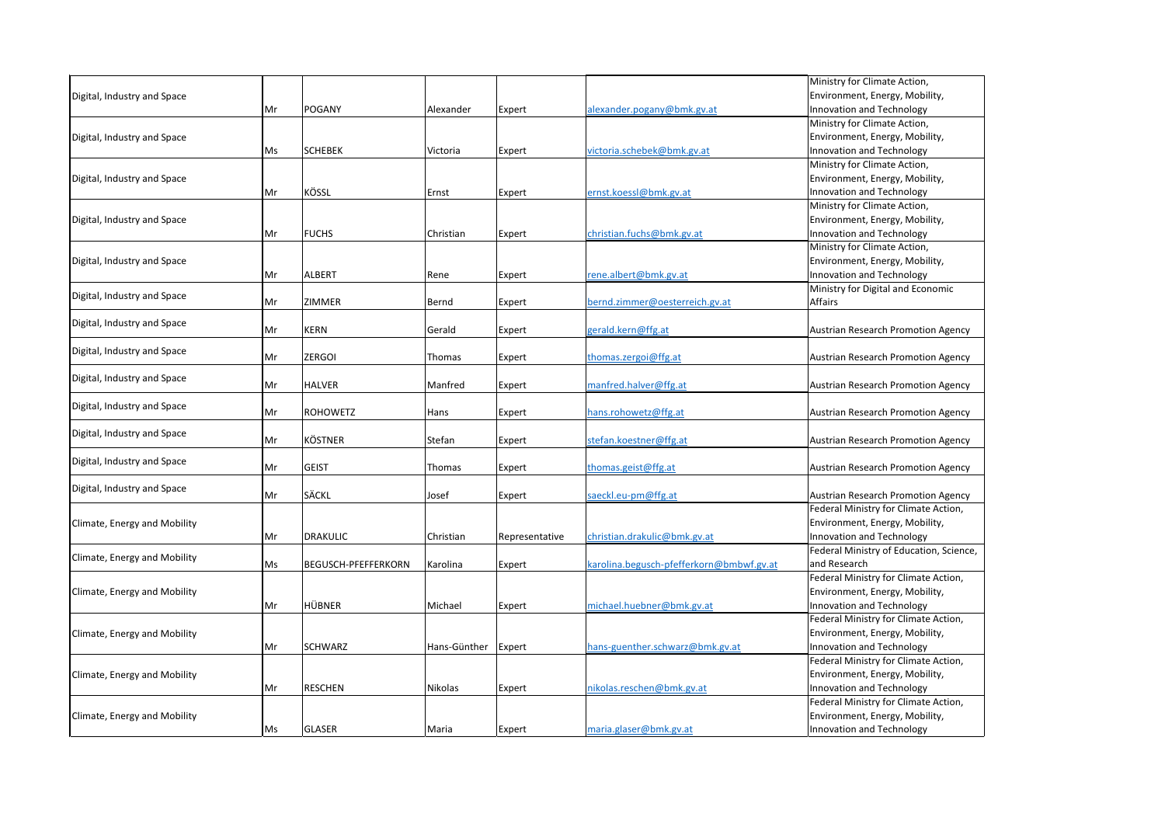|                              |    |                            |              |                |                                          | Ministry for Climate Action,              |
|------------------------------|----|----------------------------|--------------|----------------|------------------------------------------|-------------------------------------------|
| Digital, Industry and Space  |    |                            |              |                |                                          | Environment, Energy, Mobility,            |
|                              | Mr | <b>POGANY</b>              | Alexander    | Expert         | alexander.pogany@bmk.gv.at               | Innovation and Technology                 |
|                              |    |                            |              |                |                                          | Ministry for Climate Action,              |
| Digital, Industry and Space  |    |                            |              |                |                                          | Environment, Energy, Mobility,            |
|                              | Ms | <b>SCHEBEK</b>             | Victoria     | Expert         | victoria.schebek@bmk.gv.at               | Innovation and Technology                 |
|                              |    |                            |              |                |                                          | Ministry for Climate Action,              |
| Digital, Industry and Space  |    |                            |              |                |                                          | Environment, Energy, Mobility,            |
|                              | Mr | <b>KÖSSL</b>               | Ernst        | Expert         | ernst.koessl@bmk.gv.at                   | Innovation and Technology                 |
|                              |    |                            |              |                |                                          | Ministry for Climate Action,              |
| Digital, Industry and Space  |    |                            |              |                |                                          | Environment, Energy, Mobility,            |
|                              | Mr | <b>FUCHS</b>               | Christian    | Expert         | christian.fuchs@bmk.gv.at                | Innovation and Technology                 |
|                              |    |                            |              |                |                                          | Ministry for Climate Action,              |
| Digital, Industry and Space  |    |                            |              |                |                                          | Environment, Energy, Mobility,            |
|                              | Mr | <b>ALBERT</b>              | Rene         | Expert         | rene.albert@bmk.gv.at                    | Innovation and Technology                 |
|                              |    |                            |              |                |                                          | Ministry for Digital and Economic         |
| Digital, Industry and Space  | Mr | <b>ZIMMER</b>              | Bernd        | Expert         | bernd.zimmer@oesterreich.gv.at           | <b>Affairs</b>                            |
|                              |    |                            |              |                |                                          |                                           |
| Digital, Industry and Space  | Mr | <b>KERN</b>                | Gerald       | Expert         | gerald.kern@ffg.at                       | Austrian Research Promotion Agency        |
|                              |    |                            |              |                |                                          |                                           |
| Digital, Industry and Space  | Mr | <b>ZERGOI</b>              | Thomas       | Expert         | thomas.zergoi@ffg.at                     | <b>Austrian Research Promotion Agency</b> |
|                              |    |                            |              |                |                                          |                                           |
| Digital, Industry and Space  | Mr | <b>HALVER</b>              | Manfred      | Expert         | manfred.halver@ffg.at                    | <b>Austrian Research Promotion Agency</b> |
|                              |    |                            |              |                |                                          |                                           |
| Digital, Industry and Space  | Mr | <b>ROHOWETZ</b>            | Hans         | Expert         | hans.rohowetz@ffg.at                     | Austrian Research Promotion Agency        |
|                              |    |                            |              |                |                                          |                                           |
| Digital, Industry and Space  | Mr | <b>KÖSTNER</b>             | Stefan       | Expert         | stefan.koestner@ffg.at                   | <b>Austrian Research Promotion Agency</b> |
|                              |    |                            |              |                |                                          |                                           |
| Digital, Industry and Space  | Mr | <b>GEIST</b>               | Thomas       | Expert         | thomas.geist@ffg.at                      | <b>Austrian Research Promotion Agency</b> |
|                              |    |                            |              |                |                                          |                                           |
| Digital, Industry and Space  | Mr | <b>SÄCKL</b>               | Josef        | Expert         | saeckl.eu-pm@ffg.at                      | Austrian Research Promotion Agency        |
|                              |    |                            |              |                |                                          | Federal Ministry for Climate Action,      |
| Climate, Energy and Mobility |    |                            |              |                |                                          | Environment, Energy, Mobility,            |
|                              | Mr | DRAKULIC                   | Christian    | Representative | christian.drakulic@bmk.gv.at             | Innovation and Technology                 |
|                              |    |                            |              |                |                                          | Federal Ministry of Education, Science,   |
| Climate, Energy and Mobility | Ms | <b>BEGUSCH-PFEFFERKORN</b> | Karolina     | Expert         | karolina.begusch-pfefferkorn@bmbwf.gv.at | and Research                              |
|                              |    |                            |              |                |                                          | Federal Ministry for Climate Action,      |
| Climate, Energy and Mobility |    |                            |              |                |                                          | Environment, Energy, Mobility,            |
|                              | Mr | <b>HÜBNER</b>              | Michael      | Expert         | michael.huebner@bmk.gv.at                | Innovation and Technology                 |
|                              |    |                            |              |                |                                          | Federal Ministry for Climate Action,      |
| Climate, Energy and Mobility |    |                            |              |                |                                          | Environment, Energy, Mobility,            |
|                              | Mr | <b>SCHWARZ</b>             | Hans-Günther | Expert         | hans-guenther.schwarz@bmk.gv.at          | Innovation and Technology                 |
|                              |    |                            |              |                |                                          | Federal Ministry for Climate Action,      |
| Climate, Energy and Mobility |    |                            |              |                |                                          | Environment, Energy, Mobility,            |
|                              | Mr | <b>RESCHEN</b>             | Nikolas      | Expert         | nikolas.reschen@bmk.gv.at                | Innovation and Technology                 |
|                              |    |                            |              |                |                                          | Federal Ministry for Climate Action,      |
| Climate, Energy and Mobility |    |                            |              |                |                                          | Environment, Energy, Mobility,            |
|                              | Ms | GLASER                     | Maria        | Expert         | maria.glaser@bmk.gv.at                   | Innovation and Technology                 |
|                              |    |                            |              |                |                                          |                                           |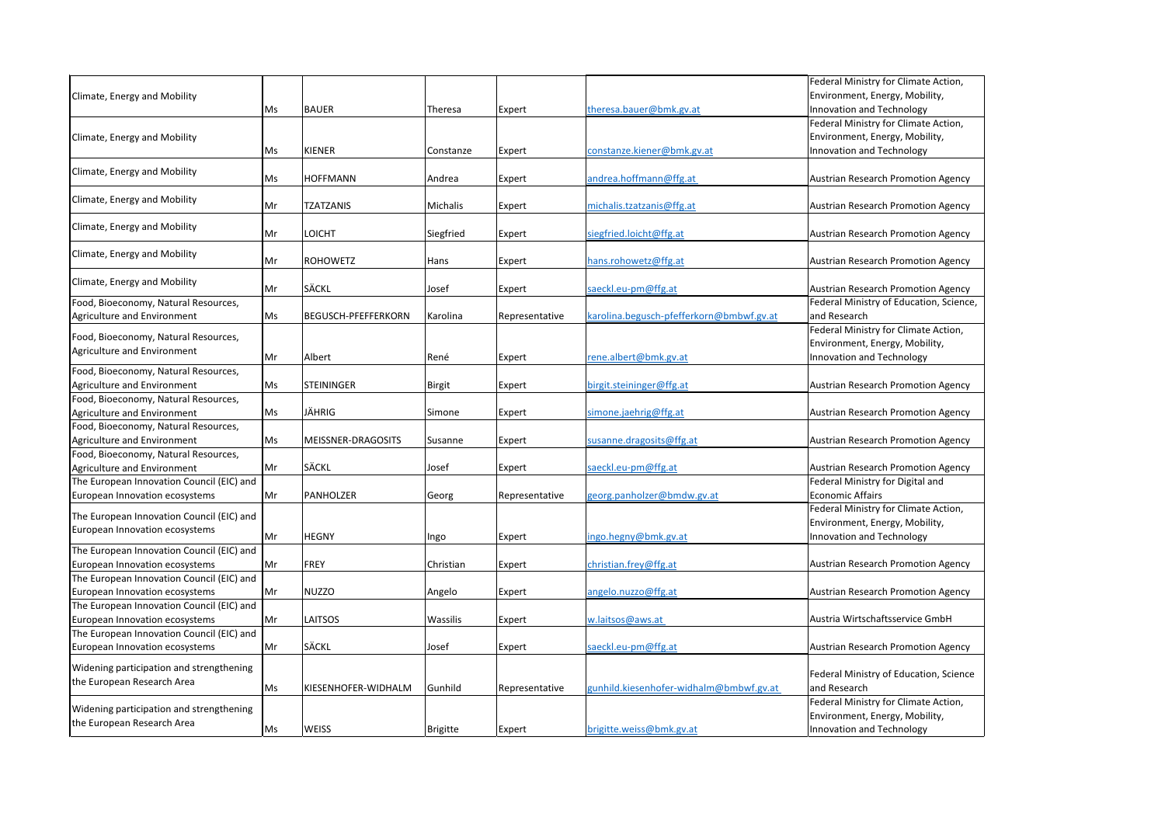|                                                                             |     |                            |                 |                |                                          | Federal Ministry for Climate Action,      |
|-----------------------------------------------------------------------------|-----|----------------------------|-----------------|----------------|------------------------------------------|-------------------------------------------|
| Climate, Energy and Mobility                                                |     |                            |                 |                |                                          | Environment, Energy, Mobility,            |
|                                                                             | Ms  | <b>BAUER</b>               | Theresa         | Expert         | theresa.bauer@bmk.gv.at                  | Innovation and Technology                 |
|                                                                             |     |                            |                 |                |                                          | Federal Ministry for Climate Action,      |
| Climate, Energy and Mobility                                                |     | <b>KIENER</b>              |                 |                |                                          | Environment, Energy, Mobility,            |
|                                                                             | Ms. |                            | Constanze       | Expert         | constanze.kiener@bmk.gv.at               | Innovation and Technology                 |
| Climate, Energy and Mobility                                                | Ms  | <b>HOFFMANN</b>            | Andrea          | Expert         | andrea.hoffmann@ffg.at                   | Austrian Research Promotion Agency        |
| Climate, Energy and Mobility                                                | Mr  | <b>TZATZANIS</b>           | Michalis        | Expert         | michalis.tzatzanis@ffg.at                | Austrian Research Promotion Agency        |
| Climate, Energy and Mobility                                                | Mr  | LOICHT                     | Siegfried       | Expert         | siegfried.loicht@ffg.at                  | <b>Austrian Research Promotion Agency</b> |
| Climate, Energy and Mobility                                                | Mr  | <b>ROHOWETZ</b>            | Hans            | Expert         | hans.rohowetz@ffg.at                     | <b>Austrian Research Promotion Agency</b> |
| Climate, Energy and Mobility                                                | Mr  | <b>SÄCKL</b>               | Josef           | Expert         | saeckl.eu-pm@ffg.at                      | <b>Austrian Research Promotion Agency</b> |
| Food, Bioeconomy, Natural Resources,                                        |     |                            |                 |                |                                          | Federal Ministry of Education, Scienc     |
| Agriculture and Environment                                                 | Ms  | <b>BEGUSCH-PFEFFERKORN</b> | Karolina        | Representative | karolina.begusch-pfefferkorn@bmbwf.gv.at | and Research                              |
|                                                                             |     |                            |                 |                |                                          | Federal Ministry for Climate Action,      |
| Food, Bioeconomy, Natural Resources,                                        |     |                            |                 |                |                                          | Environment, Energy, Mobility,            |
| Agriculture and Environment                                                 | Mr  | Albert                     | René            | Expert         | rene.albert@bmk.gv.at                    | Innovation and Technology                 |
| Food, Bioeconomy, Natural Resources,                                        |     |                            |                 |                |                                          |                                           |
| Agriculture and Environment                                                 | Ms  | <b>STEININGER</b>          | <b>Birgit</b>   | Expert         | birgit.steininger@ffg.at                 | <b>Austrian Research Promotion Agency</b> |
| Food, Bioeconomy, Natural Resources,                                        |     |                            |                 |                |                                          |                                           |
| Agriculture and Environment                                                 | Ms  | JÄHRIG                     | Simone          | Expert         | simone.jaehrig@ffg.at                    | <b>Austrian Research Promotion Agency</b> |
| Food, Bioeconomy, Natural Resources,                                        |     |                            |                 |                |                                          |                                           |
| Agriculture and Environment                                                 | Ms  | MEISSNER-DRAGOSITS         | Susanne         | Expert         | susanne.dragosits@ffg.at                 | Austrian Research Promotion Agency        |
| Food, Bioeconomy, Natural Resources,                                        |     |                            |                 |                |                                          |                                           |
| Agriculture and Environment                                                 | Mr  | <b>SÄCKL</b>               | Josef           | Expert         | saeckl.eu-pm@ffg.at                      | <b>Austrian Research Promotion Agency</b> |
| The European Innovation Council (EIC) and                                   |     |                            |                 |                |                                          | Federal Ministry for Digital and          |
| European Innovation ecosystems                                              | Mr  | PANHOLZER                  | Georg           | Representative | georg.panholzer@bmdw.gv.at               | <b>Economic Affairs</b>                   |
| The European Innovation Council (EIC) and                                   |     |                            |                 |                |                                          | Federal Ministry for Climate Action,      |
| European Innovation ecosystems                                              |     |                            |                 |                |                                          | Environment, Energy, Mobility,            |
|                                                                             | Mr  | <b>HEGNY</b>               | Ingo            | Expert         | ingo.hegny@bmk.gv.at                     | Innovation and Technology                 |
| The European Innovation Council (EIC) and                                   |     |                            |                 |                |                                          |                                           |
| European Innovation ecosystems                                              | Mr  | FREY                       | Christian       | Expert         | christian.frey@ffg.at                    | <b>Austrian Research Promotion Agency</b> |
| The European Innovation Council (EIC) and                                   |     |                            |                 |                |                                          |                                           |
| European Innovation ecosystems                                              | Mr  | NUZZO                      | Angelo          | Expert         | angelo.nuzzo@ffg.at                      | <b>Austrian Research Promotion Agency</b> |
| The European Innovation Council (EIC) and                                   |     |                            |                 |                |                                          | Austria Wirtschaftsservice GmbH           |
| European Innovation ecosystems<br>The European Innovation Council (EIC) and | Mr  | <b>LAITSOS</b>             | Wassilis        | <b>Expert</b>  | w.laitsos@aws.at                         |                                           |
| European Innovation ecosystems                                              | Mr  | <b>SÄCKL</b>               | Josef           | Expert         | saeckl.eu-pm@ffg.at                      | <b>Austrian Research Promotion Agency</b> |
|                                                                             |     |                            |                 |                |                                          |                                           |
| <b>Widening participation and strengthening</b>                             |     |                            |                 |                |                                          | Federal Ministry of Education, Scienc     |
| the European Research Area                                                  | Ms  | KIESENHOFER-WIDHALM        | Gunhild         | Representative | gunhild.kiesenhofer-widhalm@bmbwf.gv.at  | and Research                              |
|                                                                             |     |                            |                 |                |                                          | Federal Ministry for Climate Action,      |
| Widening participation and strengthening                                    |     |                            |                 |                |                                          | Environment, Energy, Mobility,            |
| the European Research Area                                                  | Ms  | <b>WEISS</b>               | <b>Brigitte</b> | <b>Expert</b>  | brigitte.weiss@bmk.gv.at                 | Innovation and Technology                 |
|                                                                             |     |                            |                 |                |                                          |                                           |

try of Education, Science,

arch Promotion Agency try for Digital and airs

arch Promotion Agency

try of Education, Science